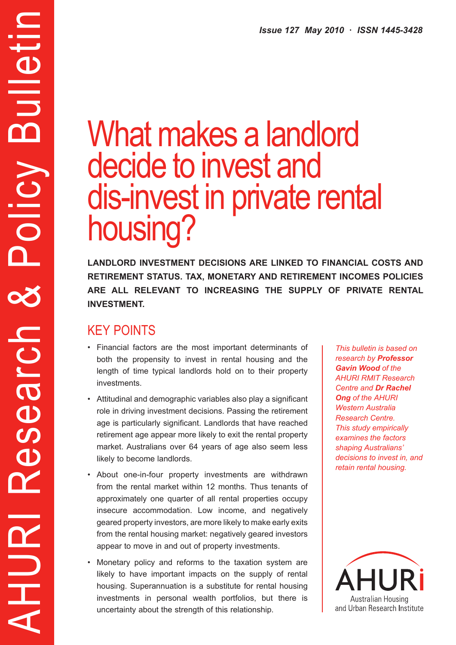# What makes a landlord decide to invest and dis-invest in private rental housing?

**LANDLORD INVESTMENT DECISIONS ARE LINKED TO FINANCIAL COSTS AND RETIREMENT STATUS. TAX, MONETARY AND RETIREMENT INCOMES POLICIES ARE ALL RELEVANT TO INCREASING THE SUPPLY OF PRIVATE RENTAL INVESTMENT.**

# KEY POINTS

AHURI Research & Policy Bulletin

Research

HURI

aikəllu

m

Policy

- • Financial factors are the most important determinants of both the propensity to invest in rental housing and the length of time typical landlords hold on to their property investments.
- Attitudinal and demographic variables also play a significant role in driving investment decisions. Passing the retirement age is particularly significant. Landlords that have reached retirement age appear more likely to exit the rental property market. Australians over 64 years of age also seem less likely to become landlords.
- • About one-in-four property investments are withdrawn from the rental market within 12 months. Thus tenants of approximately one quarter of all rental properties occupy insecure accommodation. Low income, and negatively geared property investors, are more likely to make early exits from the rental housing market: negatively geared investors appear to move in and out of property investments.
- Monetary policy and reforms to the taxation system are likely to have important impacts on the supply of rental housing. Superannuation is a substitute for rental housing investments in personal wealth portfolios, but there is uncertainty about the strength of this relationship.

*This bulletin is based on research by Professor Gavin Wood of the AHURI RMIT Research Centre and Dr Rachel Ong of the AHURI Western Australia Research Centre. This study empirically examines the factors shaping Australians' decisions to invest in, and retain rental housing.*

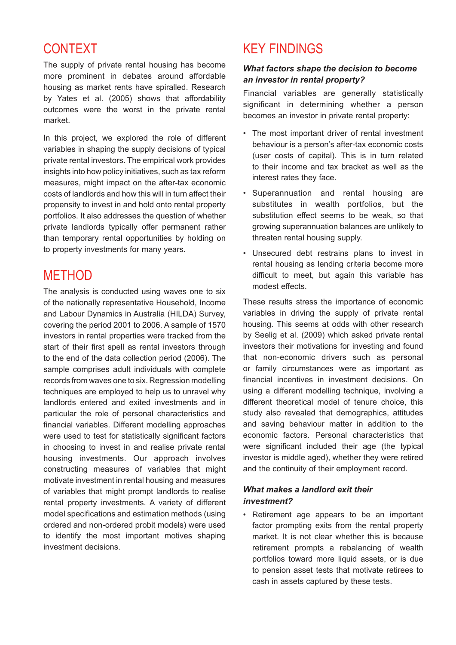## CONTEXT

The supply of private rental housing has become more prominent in debates around affordable housing as market rents have spiralled. Research by Yates et al. (2005) shows that affordability outcomes were the worst in the private rental market.

In this project, we explored the role of different variables in shaping the supply decisions of typical private rental investors. The empirical work provides insights into how policy initiatives, such as tax reform measures, might impact on the after-tax economic costs of landlords and how this will in turn affect their propensity to invest in and hold onto rental property portfolios. It also addresses the question of whether private landlords typically offer permanent rather than temporary rental opportunities by holding on to property investments for many years.

## METHOD

The analysis is conducted using waves one to six of the nationally representative Household, Income and Labour Dynamics in Australia (HILDA) Survey, covering the period 2001 to 2006. A sample of 1570 investors in rental properties were tracked from the start of their first spell as rental investors through to the end of the data collection period (2006). The sample comprises adult individuals with complete records from waves one to six. Regression modelling techniques are employed to help us to unravel why landlords entered and exited investments and in particular the role of personal characteristics and financial variables. Different modelling approaches were used to test for statistically significant factors in choosing to invest in and realise private rental housing investments. Our approach involves constructing measures of variables that might motivate investment in rental housing and measures of variables that might prompt landlords to realise rental property investments. A variety of different model specifications and estimation methods (using ordered and non-ordered probit models) were used to identify the most important motives shaping investment decisions.

# KEY FINDINGS

#### *What factors shape the decision to become an investor in rental property?*

Financial variables are generally statistically significant in determining whether a person becomes an investor in private rental property:

- The most important driver of rental investment behaviour is a person's after-tax economic costs (user costs of capital). This is in turn related to their income and tax bracket as well as the interest rates they face.
- • Superannuation and rental housing are substitutes in wealth portfolios, but the substitution effect seems to be weak, so that growing superannuation balances are unlikely to threaten rental housing supply.
- • Unsecured debt restrains plans to invest in rental housing as lending criteria become more difficult to meet, but again this variable has modest effects.

These results stress the importance of economic variables in driving the supply of private rental housing. This seems at odds with other research by Seelig et al. (2009) which asked private rental investors their motivations for investing and found that non-economic drivers such as personal or family circumstances were as important as financial incentives in investment decisions. On using a different modelling technique, involving a different theoretical model of tenure choice, this study also revealed that demographics, attitudes and saving behaviour matter in addition to the economic factors. Personal characteristics that were significant included their age (the typical investor is middle aged), whether they were retired and the continuity of their employment record.

#### *What makes a landlord exit their investment?*

• Retirement age appears to be an important factor prompting exits from the rental property market. It is not clear whether this is because retirement prompts a rebalancing of wealth portfolios toward more liquid assets, or is due to pension asset tests that motivate retirees to cash in assets captured by these tests.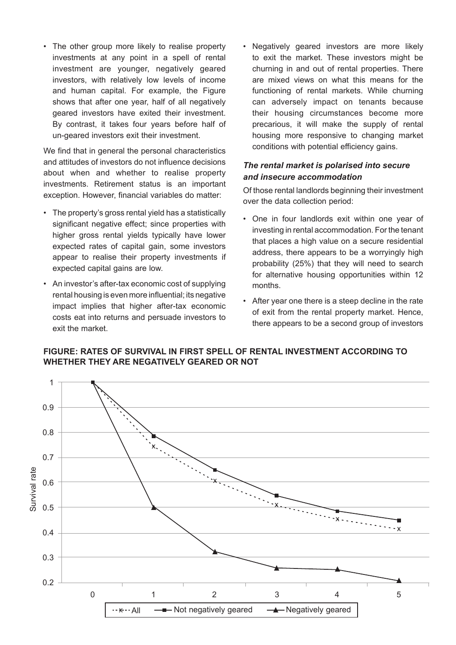• The other group more likely to realise property investments at any point in a spell of rental investment are younger, negatively geared investors, with relatively low levels of income and human capital. For example, the Figure shows that after one year, half of all negatively geared investors have exited their investment. By contrast, it takes four years before half of un-geared investors exit their investment.

We find that in general the personal characteristics and attitudes of investors do not influence decisions about when and whether to realise property investments. Retirement status is an important exception. However, financial variables do matter:

- • The property's gross rental yield has a statistically significant negative effect; since properties with higher gross rental yields typically have lower expected rates of capital gain, some investors appear to realise their property investments if expected capital gains are low.
- An investor's after-tax economic cost of supplying rental housing is even more influential; its negative impact implies that higher after-tax economic costs eat into returns and persuade investors to exit the market.

• Negatively geared investors are more likely to exit the market. These investors might be churning in and out of rental properties. There are mixed views on what this means for the functioning of rental markets. While churning can adversely impact on tenants because their housing circumstances become more precarious, it will make the supply of rental housing more responsive to changing market conditions with potential efficiency gains.

#### *The rental market is polarised into secure and insecure accommodation*

Of those rental landlords beginning their investment over the data collection period:

- One in four landlords exit within one vear of investing in rental accommodation. For the tenant that places a high value on a secure residential address, there appears to be a worryingly high probability (25%) that they will need to search for alternative housing opportunities within 12 months.
- • After year one there is a steep decline in the rate of exit from the rental property market. Hence, there appears to be a second group of investors